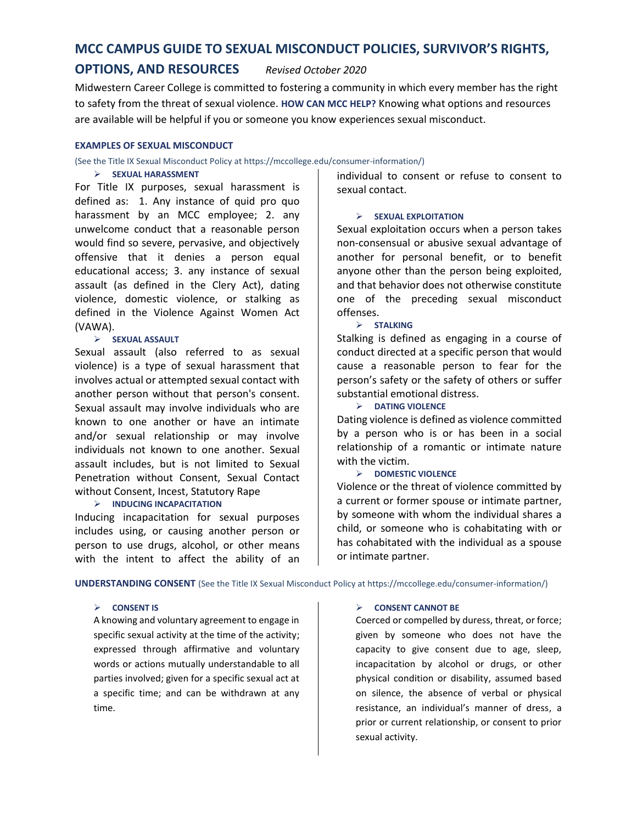# **MCC CAMPUS GUIDE TO SEXUAL MISCONDUCT POLICIES, SURVIVOR'S RIGHTS,**

# **OPTIONS, AND RESOURCES** *Revised October 2020*

Midwestern Career College is committed to fostering a community in which every member has the right to safety from the threat of sexual violence. **HOW CAN MCC HELP?** Knowing what options and resources are available will be helpful if you or someone you know experiences sexual misconduct.

### **EXAMPLES OF SEXUAL MISCONDUCT**

(See the Title IX Sexual Misconduct Policy at https://mccollege.edu/consumer-information/)

# ➢ **SEXUAL HARASSMENT**

For Title IX purposes, sexual harassment is defined as: 1. Any instance of quid pro quo harassment by an MCC employee; 2. any unwelcome conduct that a reasonable person would find so severe, pervasive, and objectively offensive that it denies a person equal educational access; 3. any instance of sexual assault (as defined in the Clery Act), dating violence, domestic violence, or stalking as defined in the Violence Against Women Act (VAWA).

# ➢ **SEXUAL ASSAULT**

Sexual assault (also referred to as sexual violence) is a type of sexual harassment that involves actual or attempted sexual contact with another person without that person's consent. Sexual assault may involve individuals who are known to one another or have an intimate and/or sexual relationship or may involve individuals not known to one another. Sexual assault includes, but is not limited to Sexual Penetration without Consent, Sexual Contact without Consent, Incest, Statutory Rape

# ➢ **INDUCING INCAPACITATION**

Inducing incapacitation for sexual purposes includes using, or causing another person or person to use drugs, alcohol, or other means with the intent to affect the ability of an individual to consent or refuse to consent to sexual contact.

# ➢ **SEXUAL EXPLOITATION**

Sexual exploitation occurs when a person takes non-consensual or abusive sexual advantage of another for personal benefit, or to benefit anyone other than the person being exploited, and that behavior does not otherwise constitute one of the preceding sexual misconduct offenses.

# ➢ **STALKING**

Stalking is defined as engaging in a course of conduct directed at a specific person that would cause a reasonable person to fear for the person's safety or the safety of others or suffer substantial emotional distress.

# ➢ **DATING VIOLENCE**

Dating violence is defined as violence committed by a person who is or has been in a social relationship of a romantic or intimate nature with the victim.

# ➢ **DOMESTIC VIOLENCE**

Violence or the threat of violence committed by a current or former spouse or intimate partner, by someone with whom the individual shares a child, or someone who is cohabitating with or has cohabitated with the individual as a spouse or intimate partner.

**UNDERSTANDING CONSENT** (See the Title IX Sexual Misconduct Policy at https://mccollege.edu/consumer-information/)

# ➢ **CONSENT IS**

A knowing and voluntary agreement to engage in specific sexual activity at the time of the activity; expressed through affirmative and voluntary words or actions mutually understandable to all parties involved; given for a specific sexual act at a specific time; and can be withdrawn at any time.

# ➢ **CONSENT CANNOT BE**

Coerced or compelled by duress, threat, or force; given by someone who does not have the capacity to give consent due to age, sleep, incapacitation by alcohol or drugs, or other physical condition or disability, assumed based on silence, the absence of verbal or physical resistance, an individual's manner of dress, a prior or current relationship, or consent to prior sexual activity.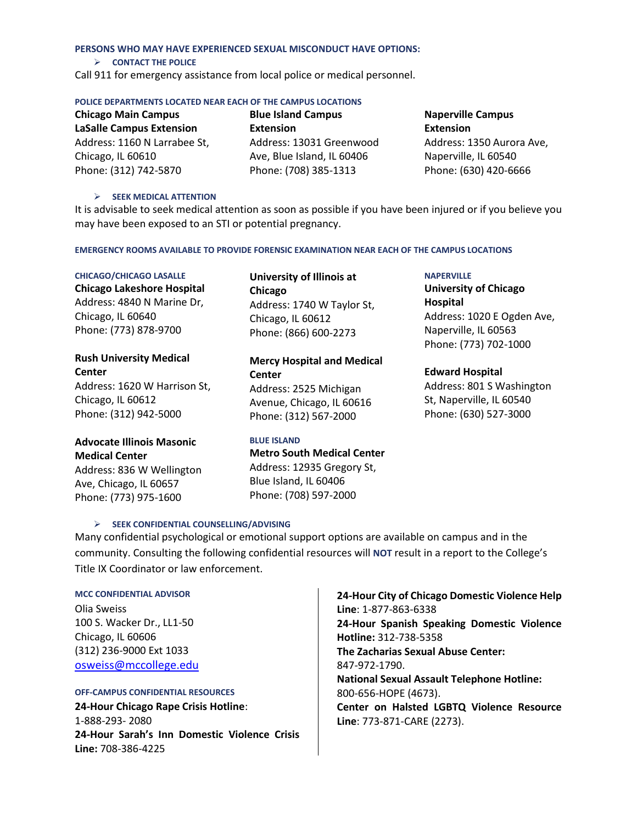### **PERSONS WHO MAY HAVE EXPERIENCED SEXUAL MISCONDUCT HAVE OPTIONS:**

### ➢ **CONTACT THE POLICE**

Call 911 for emergency assistance from local police or medical personnel.

### **POLICE DEPARTMENTS LOCATED NEAR EACH OF THE CAMPUS LOCATIONS**

**Chicago Main Campus LaSalle Campus Extension** Address: 1160 N Larrabee St, Chicago, IL 60610 Phone: (312) 742-5870

**Blue Island Campus Extension** Address: 13031 Greenwood Ave, Blue Island, IL 60406 Phone: (708) 385-1313

# **Naperville Campus Extension** Address: 1350 Aurora Ave, Naperville, IL 60540

Phone: (630) 420-6666

# ➢ **SEEK MEDICAL ATTENTION**

It is advisable to seek medical attention as soon as possible if you have been injured or if you believe you may have been exposed to an STI or potential pregnancy.

**EMERGENCY ROOMS AVAILABLE TO PROVIDE FORENSIC EXAMINATION NEAR EACH OF THE CAMPUS LOCATIONS**

### **CHICAGO/CHICAGO LASALLE**

**Chicago Lakeshore Hospital** Address: 4840 N Marine Dr, Chicago, IL 60640 Phone: (773) 878-9700

# **Rush University Medical Center**

Address: 1620 W Harrison St, Chicago, IL 60612 Phone: (312) 942-5000

# **Advocate Illinois Masonic Medical Center** Address: 836 W Wellington

Ave, Chicago, IL 60657 Phone: (773) 975-1600

# **University of Illinois at Chicago** Address: 1740 W Taylor St, Chicago, IL 60612 Phone: (866) 600-2273

**Mercy Hospital and Medical Center** Address: 2525 Michigan Avenue, Chicago, IL 60616 Phone: (312) 567-2000

# **BLUE ISLAND**

**Metro South Medical Center**  Address: 12935 Gregory St, Blue Island, IL 60406 Phone: (708) 597-2000

# **NAPERVILLE**

**University of Chicago Hospital**  Address: 1020 E Ogden Ave, Naperville, IL 60563 Phone: (773) 702-1000

# **Edward Hospital**

Address: 801 S Washington St, Naperville, IL 60540 Phone: (630) 527-3000

Many confidential psychological or emotional support options are available on campus and in the community. Consulting the following confidential resources will **NOT** result in a report to the College's Title IX Coordinator or law enforcement.

# **MCC CONFIDENTIAL ADVISOR**

Olia Sweiss 100 S. Wacker Dr., LL1-50 Chicago, IL 60606 (312) 236-9000 Ext 1033 [osweiss@mccollege.edu](mailto:osweiss@mccollege.edu)

# **OFF-CAMPUS CONFIDENTIAL RESOURCES**

**24-Hour Chicago Rape Crisis Hotline**: 1-888-293- 2080 **24-Hour Sarah's Inn Domestic Violence Crisis Line:** 708-386-4225

➢ **SEEK CONFIDENTIAL COUNSELLING/ADVISING**

**24-Hour City of Chicago Domestic Violence Help Line**: 1-877-863-6338 **24-Hour Spanish Speaking Domestic Violence Hotline:** 312-738-5358 **The Zacharias Sexual Abuse Center:**  847-972-1790. **National Sexual Assault Telephone Hotline:**  800-656-HOPE (4673). **Center on Halsted LGBTQ Violence Resource Line**: 773-871-CARE (2273).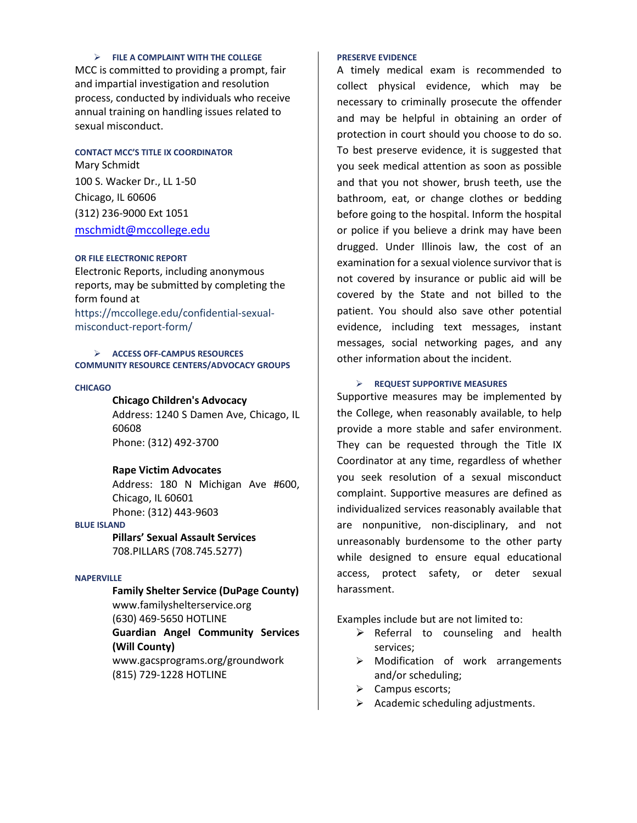### ➢ **FILE A COMPLAINT WITH THE COLLEGE**

MCC is committed to providing a prompt, fair and impartial investigation and resolution process, conducted by individuals who receive annual training on handling issues related to sexual misconduct.

### **CONTACT MCC'S TITLE IX COORDINATOR**

Mary Schmidt 100 S. Wacker Dr., LL 1-50 Chicago, IL 60606 (312) 236-9000 Ext 1051 [mschmidt@mccollege.edu](mailto:mschmidt@mccollege.edu)

# **OR FILE ELECTRONIC REPORT**

Electronic Reports, including anonymous reports, may be submitted by completing the form found at https://mccollege.edu/confidential-sexualmisconduct-report-form/

### ➢ **ACCESS OFF-CAMPUS RESOURCES COMMUNITY RESOURCE CENTERS/ADVOCACY GROUPS**

#### **CHICAGO**

# **Chicago Children's Advocacy**

Address: 1240 S Damen Ave, Chicago, IL 60608 Phone: (312) 492-3700

### **Rape Victim Advocates**

Address: 180 N Michigan Ave #600, Chicago, IL 60601 Phone: (312) 443-9603

### **BLUE ISLAND**

**Pillars' Sexual Assault Services** 708.PILLARS (708.745.5277)

### **NAPERVILLE**

**Family Shelter Service (DuPage County)** www.familyshelterservice.org (630) 469-5650 HOTLINE **Guardian Angel Community Services (Will County)** www.gacsprograms.org/groundwork (815) 729-1228 HOTLINE

### **PRESERVE EVIDENCE**

A timely medical exam is recommended to collect physical evidence, which may be necessary to criminally prosecute the offender and may be helpful in obtaining an order of protection in court should you choose to do so. To best preserve evidence, it is suggested that you seek medical attention as soon as possible and that you not shower, brush teeth, use the bathroom, eat, or change clothes or bedding before going to the hospital. Inform the hospital or police if you believe a drink may have been drugged. Under Illinois law, the cost of an examination for a sexual violence survivor that is not covered by insurance or public aid will be covered by the State and not billed to the patient. You should also save other potential evidence, including text messages, instant messages, social networking pages, and any other information about the incident.

### ➢ **REQUEST SUPPORTIVE MEASURES**

Supportive measures may be implemented by the College, when reasonably available, to help provide a more stable and safer environment. They can be requested through the Title IX Coordinator at any time, regardless of whether you seek resolution of a sexual misconduct complaint. Supportive measures are defined as individualized services reasonably available that are nonpunitive, non-disciplinary, and not unreasonably burdensome to the other party while designed to ensure equal educational access, protect safety, or deter sexual harassment.

Examples include but are not limited to:

- $\triangleright$  Referral to counseling and health services;
- ➢ Modification of work arrangements and/or scheduling;
- ➢ Campus escorts;
- ➢ Academic scheduling adjustments.